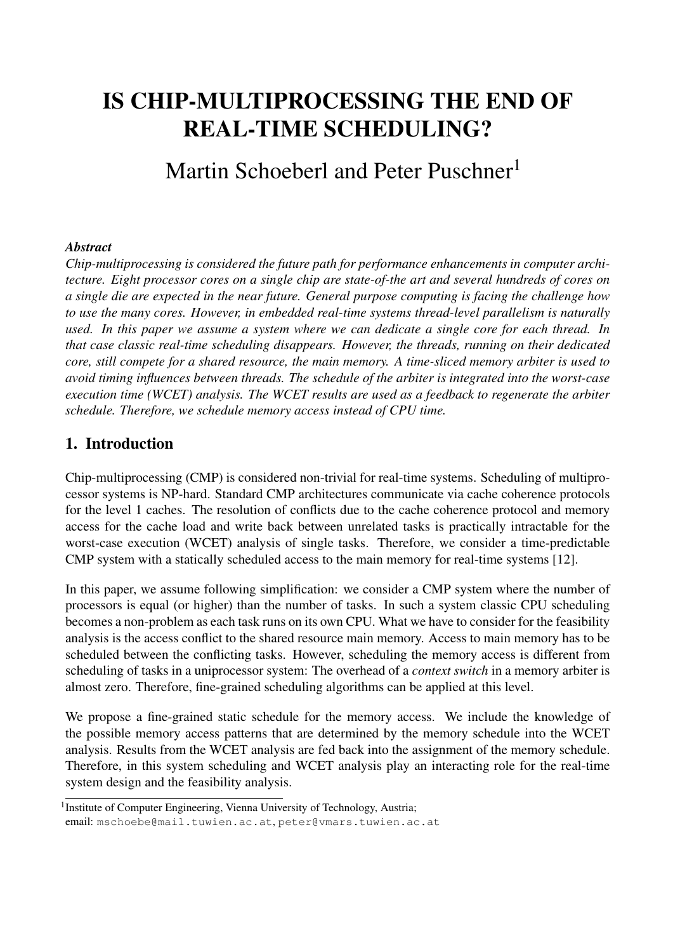# IS CHIP-MULTIPROCESSING THE END OF REAL-TIME SCHEDULING?

Martin Schoeberl and Peter Puschner<sup>1</sup>

#### *Abstract*

*Chip-multiprocessing is considered the future path for performance enhancements in computer architecture. Eight processor cores on a single chip are state-of-the art and several hundreds of cores on a single die are expected in the near future. General purpose computing is facing the challenge how to use the many cores. However, in embedded real-time systems thread-level parallelism is naturally used. In this paper we assume a system where we can dedicate a single core for each thread. In that case classic real-time scheduling disappears. However, the threads, running on their dedicated core, still compete for a shared resource, the main memory. A time-sliced memory arbiter is used to avoid timing influences between threads. The schedule of the arbiter is integrated into the worst-case execution time (WCET) analysis. The WCET results are used as a feedback to regenerate the arbiter schedule. Therefore, we schedule memory access instead of CPU time.*

## 1. Introduction

Chip-multiprocessing (CMP) is considered non-trivial for real-time systems. Scheduling of multiprocessor systems is NP-hard. Standard CMP architectures communicate via cache coherence protocols for the level 1 caches. The resolution of conflicts due to the cache coherence protocol and memory access for the cache load and write back between unrelated tasks is practically intractable for the worst-case execution (WCET) analysis of single tasks. Therefore, we consider a time-predictable CMP system with a statically scheduled access to the main memory for real-time systems [12].

In this paper, we assume following simplification: we consider a CMP system where the number of processors is equal (or higher) than the number of tasks. In such a system classic CPU scheduling becomes a non-problem as each task runs on its own CPU. What we have to consider for the feasibility analysis is the access conflict to the shared resource main memory. Access to main memory has to be scheduled between the conflicting tasks. However, scheduling the memory access is different from scheduling of tasks in a uniprocessor system: The overhead of a *context switch* in a memory arbiter is almost zero. Therefore, fine-grained scheduling algorithms can be applied at this level.

We propose a fine-grained static schedule for the memory access. We include the knowledge of the possible memory access patterns that are determined by the memory schedule into the WCET analysis. Results from the WCET analysis are fed back into the assignment of the memory schedule. Therefore, in this system scheduling and WCET analysis play an interacting role for the real-time system design and the feasibility analysis.

<sup>&</sup>lt;sup>1</sup> Institute of Computer Engineering, Vienna University of Technology, Austria; email: mschoebe@mail.tuwien.ac.at, peter@vmars.tuwien.ac.at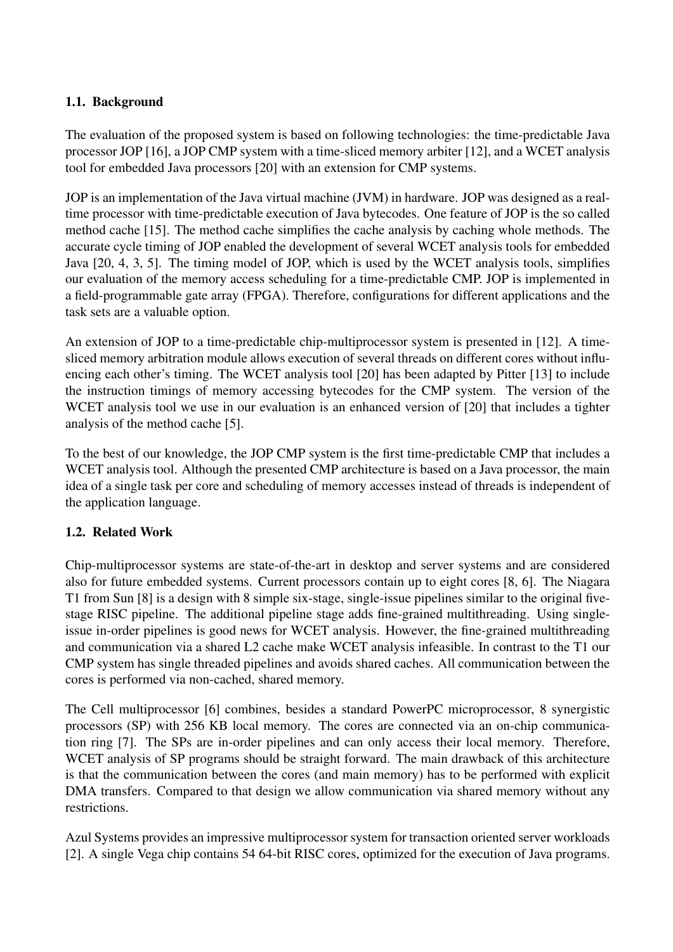## 1.1. Background

The evaluation of the proposed system is based on following technologies: the time-predictable Java processor JOP [16], a JOP CMP system with a time-sliced memory arbiter [12], and a WCET analysis tool for embedded Java processors [20] with an extension for CMP systems.

JOP is an implementation of the Java virtual machine (JVM) in hardware. JOP was designed as a realtime processor with time-predictable execution of Java bytecodes. One feature of JOP is the so called method cache [15]. The method cache simplifies the cache analysis by caching whole methods. The accurate cycle timing of JOP enabled the development of several WCET analysis tools for embedded Java [20, 4, 3, 5]. The timing model of JOP, which is used by the WCET analysis tools, simplifies our evaluation of the memory access scheduling for a time-predictable CMP. JOP is implemented in a field-programmable gate array (FPGA). Therefore, configurations for different applications and the task sets are a valuable option.

An extension of JOP to a time-predictable chip-multiprocessor system is presented in [12]. A timesliced memory arbitration module allows execution of several threads on different cores without influencing each other's timing. The WCET analysis tool [20] has been adapted by Pitter [13] to include the instruction timings of memory accessing bytecodes for the CMP system. The version of the WCET analysis tool we use in our evaluation is an enhanced version of [20] that includes a tighter analysis of the method cache [5].

To the best of our knowledge, the JOP CMP system is the first time-predictable CMP that includes a WCET analysis tool. Although the presented CMP architecture is based on a Java processor, the main idea of a single task per core and scheduling of memory accesses instead of threads is independent of the application language.

## 1.2. Related Work

Chip-multiprocessor systems are state-of-the-art in desktop and server systems and are considered also for future embedded systems. Current processors contain up to eight cores [8, 6]. The Niagara T1 from Sun [8] is a design with 8 simple six-stage, single-issue pipelines similar to the original fivestage RISC pipeline. The additional pipeline stage adds fine-grained multithreading. Using singleissue in-order pipelines is good news for WCET analysis. However, the fine-grained multithreading and communication via a shared L2 cache make WCET analysis infeasible. In contrast to the T1 our CMP system has single threaded pipelines and avoids shared caches. All communication between the cores is performed via non-cached, shared memory.

The Cell multiprocessor [6] combines, besides a standard PowerPC microprocessor, 8 synergistic processors (SP) with 256 KB local memory. The cores are connected via an on-chip communication ring [7]. The SPs are in-order pipelines and can only access their local memory. Therefore, WCET analysis of SP programs should be straight forward. The main drawback of this architecture is that the communication between the cores (and main memory) has to be performed with explicit DMA transfers. Compared to that design we allow communication via shared memory without any restrictions.

Azul Systems provides an impressive multiprocessor system for transaction oriented server workloads [2]. A single Vega chip contains 54 64-bit RISC cores, optimized for the execution of Java programs.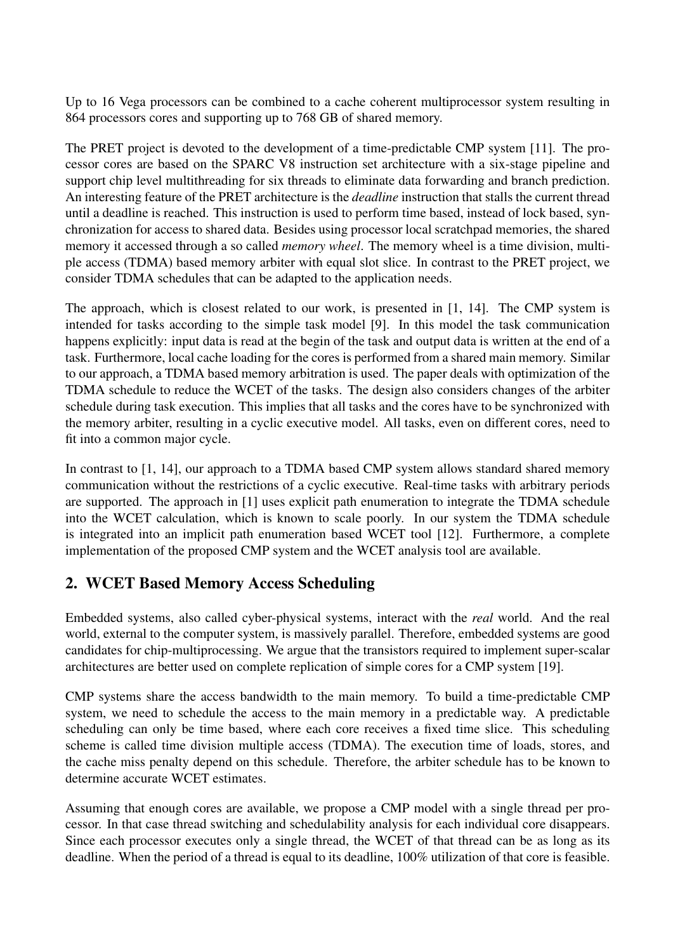Up to 16 Vega processors can be combined to a cache coherent multiprocessor system resulting in 864 processors cores and supporting up to 768 GB of shared memory.

The PRET project is devoted to the development of a time-predictable CMP system [11]. The processor cores are based on the SPARC V8 instruction set architecture with a six-stage pipeline and support chip level multithreading for six threads to eliminate data forwarding and branch prediction. An interesting feature of the PRET architecture is the *deadline* instruction that stalls the current thread until a deadline is reached. This instruction is used to perform time based, instead of lock based, synchronization for access to shared data. Besides using processor local scratchpad memories, the shared memory it accessed through a so called *memory wheel*. The memory wheel is a time division, multiple access (TDMA) based memory arbiter with equal slot slice. In contrast to the PRET project, we consider TDMA schedules that can be adapted to the application needs.

The approach, which is closest related to our work, is presented in [1, 14]. The CMP system is intended for tasks according to the simple task model [9]. In this model the task communication happens explicitly: input data is read at the begin of the task and output data is written at the end of a task. Furthermore, local cache loading for the cores is performed from a shared main memory. Similar to our approach, a TDMA based memory arbitration is used. The paper deals with optimization of the TDMA schedule to reduce the WCET of the tasks. The design also considers changes of the arbiter schedule during task execution. This implies that all tasks and the cores have to be synchronized with the memory arbiter, resulting in a cyclic executive model. All tasks, even on different cores, need to fit into a common major cycle.

In contrast to [1, 14], our approach to a TDMA based CMP system allows standard shared memory communication without the restrictions of a cyclic executive. Real-time tasks with arbitrary periods are supported. The approach in [1] uses explicit path enumeration to integrate the TDMA schedule into the WCET calculation, which is known to scale poorly. In our system the TDMA schedule is integrated into an implicit path enumeration based WCET tool [12]. Furthermore, a complete implementation of the proposed CMP system and the WCET analysis tool are available.

# 2. WCET Based Memory Access Scheduling

Embedded systems, also called cyber-physical systems, interact with the *real* world. And the real world, external to the computer system, is massively parallel. Therefore, embedded systems are good candidates for chip-multiprocessing. We argue that the transistors required to implement super-scalar architectures are better used on complete replication of simple cores for a CMP system [19].

CMP systems share the access bandwidth to the main memory. To build a time-predictable CMP system, we need to schedule the access to the main memory in a predictable way. A predictable scheduling can only be time based, where each core receives a fixed time slice. This scheduling scheme is called time division multiple access (TDMA). The execution time of loads, stores, and the cache miss penalty depend on this schedule. Therefore, the arbiter schedule has to be known to determine accurate WCET estimates.

Assuming that enough cores are available, we propose a CMP model with a single thread per processor. In that case thread switching and schedulability analysis for each individual core disappears. Since each processor executes only a single thread, the WCET of that thread can be as long as its deadline. When the period of a thread is equal to its deadline, 100% utilization of that core is feasible.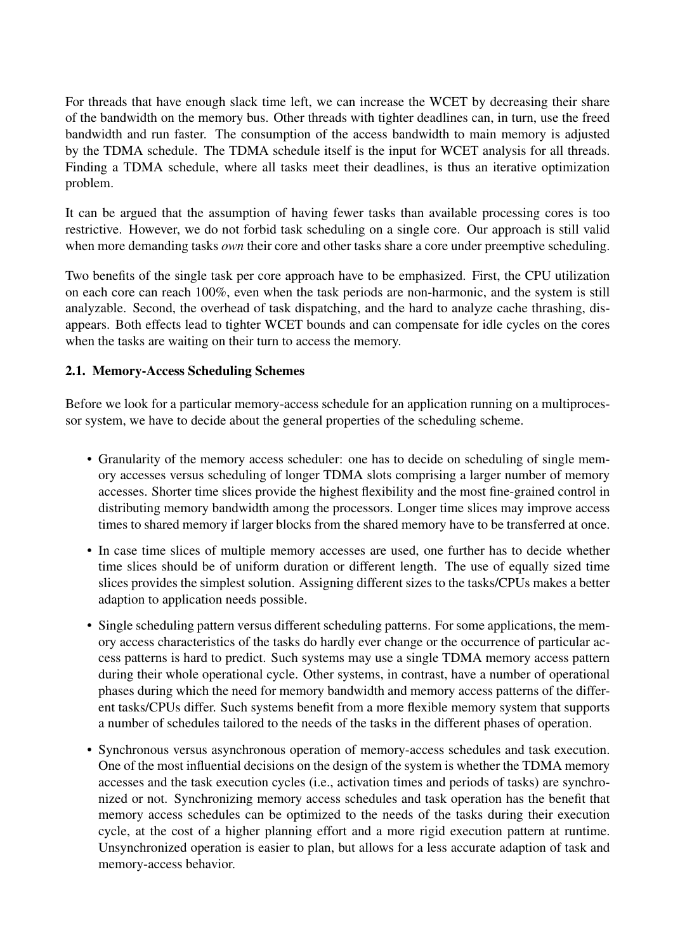For threads that have enough slack time left, we can increase the WCET by decreasing their share of the bandwidth on the memory bus. Other threads with tighter deadlines can, in turn, use the freed bandwidth and run faster. The consumption of the access bandwidth to main memory is adjusted by the TDMA schedule. The TDMA schedule itself is the input for WCET analysis for all threads. Finding a TDMA schedule, where all tasks meet their deadlines, is thus an iterative optimization problem.

It can be argued that the assumption of having fewer tasks than available processing cores is too restrictive. However, we do not forbid task scheduling on a single core. Our approach is still valid when more demanding tasks *own* their core and other tasks share a core under preemptive scheduling.

Two benefits of the single task per core approach have to be emphasized. First, the CPU utilization on each core can reach 100%, even when the task periods are non-harmonic, and the system is still analyzable. Second, the overhead of task dispatching, and the hard to analyze cache thrashing, disappears. Both effects lead to tighter WCET bounds and can compensate for idle cycles on the cores when the tasks are waiting on their turn to access the memory.

### 2.1. Memory-Access Scheduling Schemes

Before we look for a particular memory-access schedule for an application running on a multiprocessor system, we have to decide about the general properties of the scheduling scheme.

- Granularity of the memory access scheduler: one has to decide on scheduling of single memory accesses versus scheduling of longer TDMA slots comprising a larger number of memory accesses. Shorter time slices provide the highest flexibility and the most fine-grained control in distributing memory bandwidth among the processors. Longer time slices may improve access times to shared memory if larger blocks from the shared memory have to be transferred at once.
- In case time slices of multiple memory accesses are used, one further has to decide whether time slices should be of uniform duration or different length. The use of equally sized time slices provides the simplest solution. Assigning different sizes to the tasks/CPUs makes a better adaption to application needs possible.
- Single scheduling pattern versus different scheduling patterns. For some applications, the memory access characteristics of the tasks do hardly ever change or the occurrence of particular access patterns is hard to predict. Such systems may use a single TDMA memory access pattern during their whole operational cycle. Other systems, in contrast, have a number of operational phases during which the need for memory bandwidth and memory access patterns of the different tasks/CPUs differ. Such systems benefit from a more flexible memory system that supports a number of schedules tailored to the needs of the tasks in the different phases of operation.
- Synchronous versus asynchronous operation of memory-access schedules and task execution. One of the most influential decisions on the design of the system is whether the TDMA memory accesses and the task execution cycles (i.e., activation times and periods of tasks) are synchronized or not. Synchronizing memory access schedules and task operation has the benefit that memory access schedules can be optimized to the needs of the tasks during their execution cycle, at the cost of a higher planning effort and a more rigid execution pattern at runtime. Unsynchronized operation is easier to plan, but allows for a less accurate adaption of task and memory-access behavior.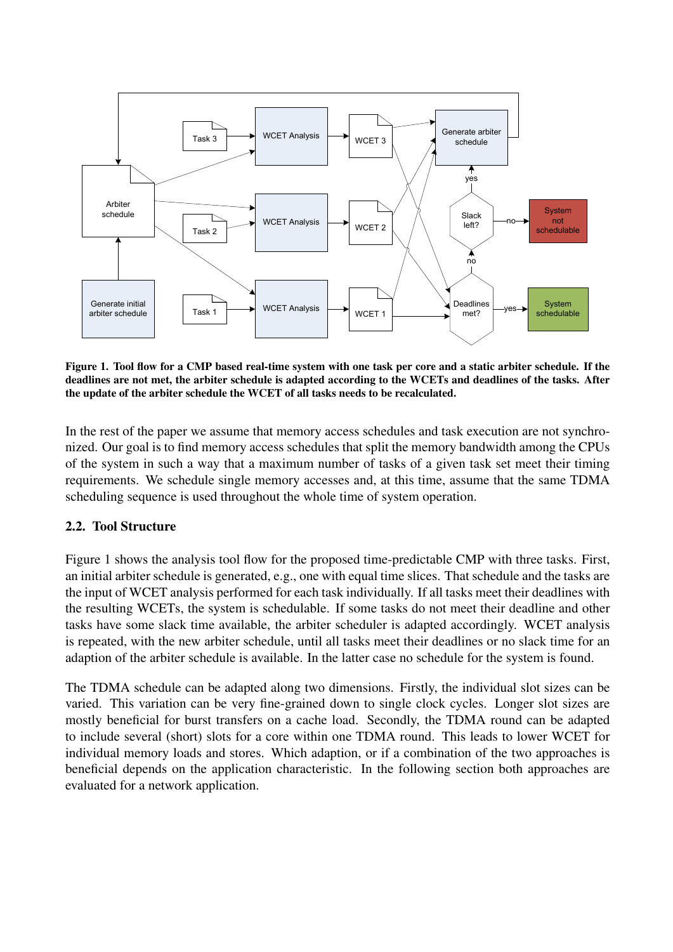

Figure 1. Tool flow for a CMP based real-time system with one task per core and a static arbiter schedule. If the deadlines are not met, the arbiter schedule is adapted according to the WCETs and deadlines of the tasks. After the update of the arbiter schedule the WCET of all tasks needs to be recalculated.

In the rest of the paper we assume that memory access schedules and task execution are not synchronized. Our goal is to find memory access schedules that split the memory bandwidth among the CPUs of the system in such a way that a maximum number of tasks of a given task set meet their timing requirements. We schedule single memory accesses and, at this time, assume that the same TDMA scheduling sequence is used throughout the whole time of system operation.

#### 2.2. Tool Structure

Figure 1 shows the analysis tool flow for the proposed time-predictable CMP with three tasks. First, an initial arbiter schedule is generated, e.g., one with equal time slices. That schedule and the tasks are the input of WCET analysis performed for each task individually. If all tasks meet their deadlines with the resulting WCETs, the system is schedulable. If some tasks do not meet their deadline and other tasks have some slack time available, the arbiter scheduler is adapted accordingly. WCET analysis is repeated, with the new arbiter schedule, until all tasks meet their deadlines or no slack time for an adaption of the arbiter schedule is available. In the latter case no schedule for the system is found.

The TDMA schedule can be adapted along two dimensions. Firstly, the individual slot sizes can be varied. This variation can be very fine-grained down to single clock cycles. Longer slot sizes are mostly beneficial for burst transfers on a cache load. Secondly, the TDMA round can be adapted to include several (short) slots for a core within one TDMA round. This leads to lower WCET for individual memory loads and stores. Which adaption, or if a combination of the two approaches is beneficial depends on the application characteristic. In the following section both approaches are evaluated for a network application.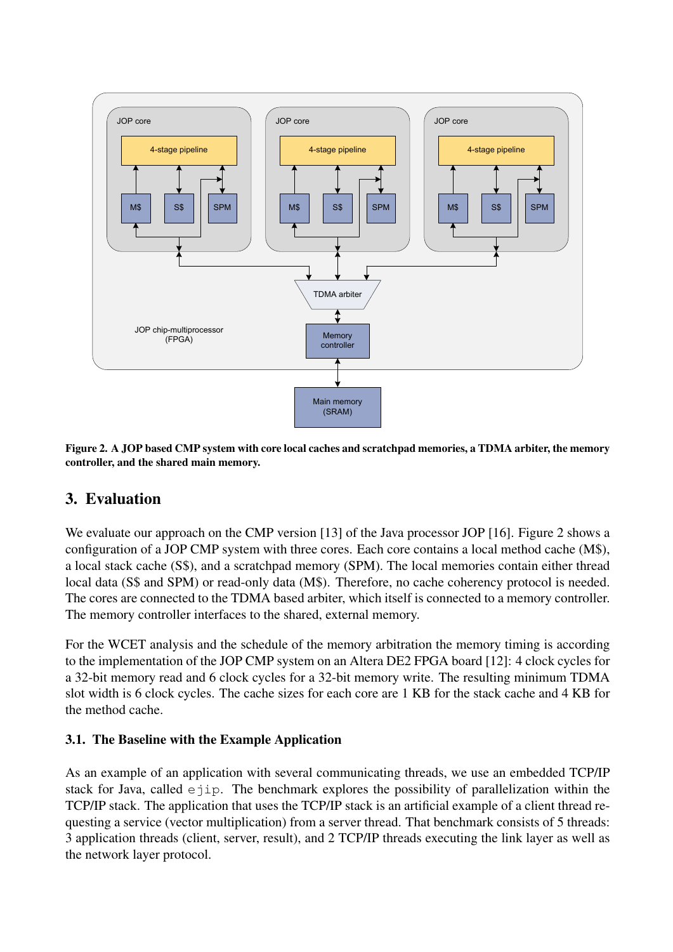

Figure 2. A JOP based CMP system with core local caches and scratchpad memories, a TDMA arbiter, the memory controller, and the shared main memory.

# 3. Evaluation

We evaluate our approach on the CMP version [13] of the Java processor JOP [16]. Figure 2 shows a configuration of a JOP CMP system with three cores. Each core contains a local method cache (M\$), a local stack cache (S\$), and a scratchpad memory (SPM). The local memories contain either thread local data (S\$ and SPM) or read-only data (M\$). Therefore, no cache coherency protocol is needed. The cores are connected to the TDMA based arbiter, which itself is connected to a memory controller. The memory controller interfaces to the shared, external memory.

For the WCET analysis and the schedule of the memory arbitration the memory timing is according to the implementation of the JOP CMP system on an Altera DE2 FPGA board [12]: 4 clock cycles for a 32-bit memory read and 6 clock cycles for a 32-bit memory write. The resulting minimum TDMA slot width is 6 clock cycles. The cache sizes for each core are 1 KB for the stack cache and 4 KB for the method cache.

## 3.1. The Baseline with the Example Application

As an example of an application with several communicating threads, we use an embedded TCP/IP stack for Java, called  $e^{\dagger}$ ip. The benchmark explores the possibility of parallelization within the TCP/IP stack. The application that uses the TCP/IP stack is an artificial example of a client thread requesting a service (vector multiplication) from a server thread. That benchmark consists of 5 threads: 3 application threads (client, server, result), and 2 TCP/IP threads executing the link layer as well as the network layer protocol.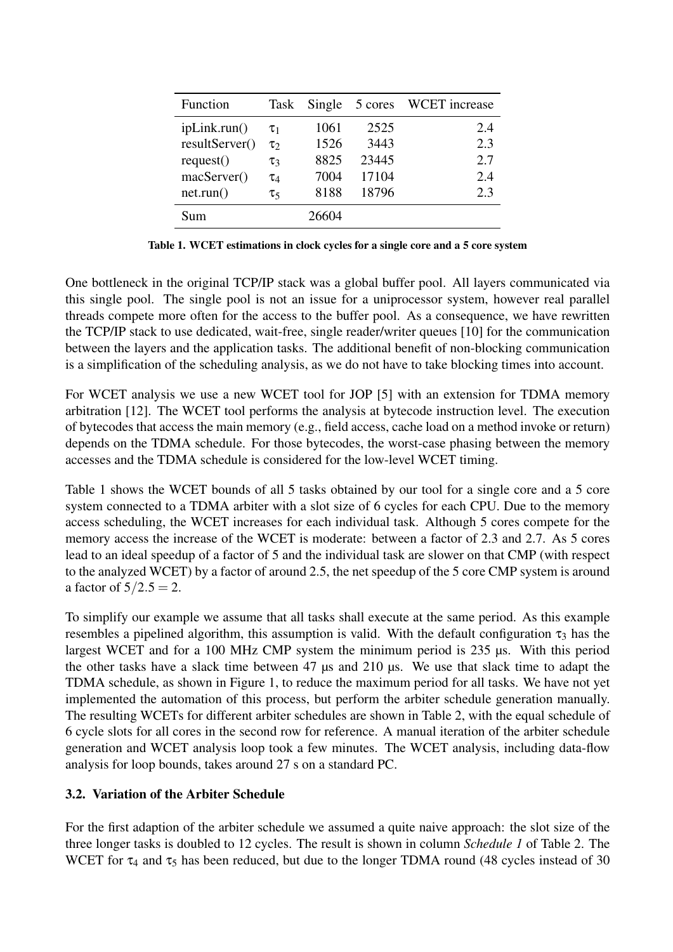| Function       | Task       | Single | 5 cores | <b>WCET</b> increase |
|----------------|------------|--------|---------|----------------------|
| ipLink.run()   | $\tau_1$   | 1061   | 2525    | 2.4                  |
| resultServer() | $\tau_2$   | 1526   | 3443    | 2.3                  |
| request()      | $\tau_3$   | 8825   | 23445   | 2.7                  |
| macServer()    | $\tau_4$   | 7004   | 17104   | 2.4                  |
| net.run()      | $\tau_{5}$ | 8188   | 18796   | 2.3                  |
| Sum            |            | 26604  |         |                      |

Table 1. WCET estimations in clock cycles for a single core and a 5 core system

One bottleneck in the original TCP/IP stack was a global buffer pool. All layers communicated via this single pool. The single pool is not an issue for a uniprocessor system, however real parallel threads compete more often for the access to the buffer pool. As a consequence, we have rewritten the TCP/IP stack to use dedicated, wait-free, single reader/writer queues [10] for the communication between the layers and the application tasks. The additional benefit of non-blocking communication is a simplification of the scheduling analysis, as we do not have to take blocking times into account.

For WCET analysis we use a new WCET tool for JOP [5] with an extension for TDMA memory arbitration [12]. The WCET tool performs the analysis at bytecode instruction level. The execution of bytecodes that access the main memory (e.g., field access, cache load on a method invoke or return) depends on the TDMA schedule. For those bytecodes, the worst-case phasing between the memory accesses and the TDMA schedule is considered for the low-level WCET timing.

Table 1 shows the WCET bounds of all 5 tasks obtained by our tool for a single core and a 5 core system connected to a TDMA arbiter with a slot size of 6 cycles for each CPU. Due to the memory access scheduling, the WCET increases for each individual task. Although 5 cores compete for the memory access the increase of the WCET is moderate: between a factor of 2.3 and 2.7. As 5 cores lead to an ideal speedup of a factor of 5 and the individual task are slower on that CMP (with respect to the analyzed WCET) by a factor of around 2.5, the net speedup of the 5 core CMP system is around a factor of  $5/2.5 = 2$ .

To simplify our example we assume that all tasks shall execute at the same period. As this example resembles a pipelined algorithm, this assumption is valid. With the default configuration  $\tau_3$  has the largest WCET and for a 100 MHz CMP system the minimum period is 235 µs. With this period the other tasks have a slack time between 47 µs and 210 µs. We use that slack time to adapt the TDMA schedule, as shown in Figure 1, to reduce the maximum period for all tasks. We have not yet implemented the automation of this process, but perform the arbiter schedule generation manually. The resulting WCETs for different arbiter schedules are shown in Table 2, with the equal schedule of 6 cycle slots for all cores in the second row for reference. A manual iteration of the arbiter schedule generation and WCET analysis loop took a few minutes. The WCET analysis, including data-flow analysis for loop bounds, takes around 27 s on a standard PC.

### 3.2. Variation of the Arbiter Schedule

For the first adaption of the arbiter schedule we assumed a quite naive approach: the slot size of the three longer tasks is doubled to 12 cycles. The result is shown in column *Schedule 1* of Table 2. The WCET for  $\tau_4$  and  $\tau_5$  has been reduced, but due to the longer TDMA round (48 cycles instead of 30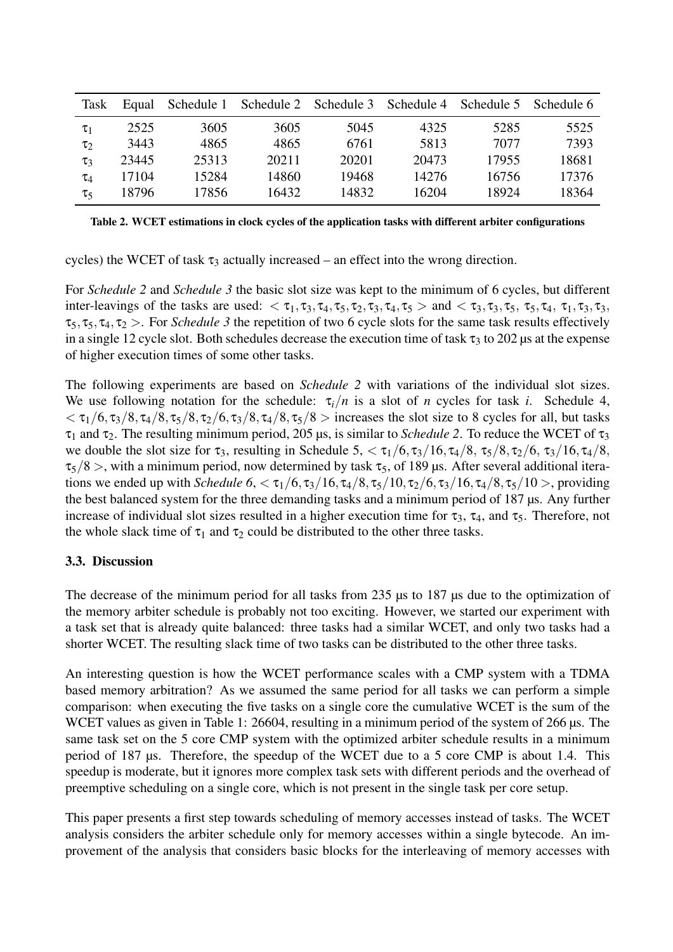| <b>Task</b> | Equal | Schedule 1 |       | Schedule 2 Schedule 3 | Schedule 4 | Schedule 5 | Schedule 6 |
|-------------|-------|------------|-------|-----------------------|------------|------------|------------|
| $\tau_1$    | 2525  | 3605       | 3605  | 5045                  | 4325       | 5285       | 5525       |
| $\tau_2$    | 3443  | 4865       | 4865  | 6761                  | 5813       | 7077       | 7393       |
| $\tau_3$    | 23445 | 25313      | 20211 | 20201                 | 20473      | 17955      | 18681      |
| $\tau_4$    | 17104 | 15284      | 14860 | 19468                 | 14276      | 16756      | 17376      |
| $\tau_{5}$  | 18796 | 17856      | 16432 | 14832                 | 16204      | 18924      | 18364      |

Table 2. WCET estimations in clock cycles of the application tasks with different arbiter configurations

cycles) the WCET of task  $\tau_3$  actually increased – an effect into the wrong direction.

For *Schedule 2* and *Schedule 3* the basic slot size was kept to the minimum of 6 cycles, but different inter-leavings of the tasks are used:  $\langle \tau_1, \tau_3, \tau_4, \tau_5, \tau_2, \tau_3, \tau_4, \tau_5 \rangle$  and  $\langle \tau_3, \tau_3, \tau_5, \tau_4, \tau_1, \tau_3, \tau_3, \tau_5 \rangle$  $\tau_5, \tau_5, \tau_4, \tau_2$  >. For *Schedule 3* the repetition of two 6 cycle slots for the same task results effectively in a single 12 cycle slot. Both schedules decrease the execution time of task  $\tau_3$  to 202  $\mu$ s at the expense of higher execution times of some other tasks.

The following experiments are based on *Schedule 2* with variations of the individual slot sizes. We use following notation for the schedule:  $\tau_i/n$  is a slot of *n* cycles for task *i*. Schedule 4,  $<\tau_1/6$ ,  $\tau_3/8$ ,  $\tau_4/8$ ,  $\tau_5/8$ ,  $\tau_2/6$ ,  $\tau_3/8$ ,  $\tau_4/8$ ,  $\tau_5/8$  > increases the slot size to 8 cycles for all, but tasks  $τ<sub>1</sub>$  and  $τ<sub>2</sub>$ . The resulting minimum period, 205 μs, is similar to *Schedule 2*. To reduce the WCET of  $τ<sub>3</sub>$ we double the slot size for  $\tau_3$ , resulting in Schedule 5,  $\langle \tau_1/6, \tau_3/16, \tau_4/8, \tau_5/8, \tau_2/6, \tau_3/16, \tau_4/8,$  $\tau_5/8$  >, with a minimum period, now determined by task  $\tau_5$ , of 189 µs. After several additional iterations we ended up with *Schedule*  $6$ ,  $\langle \tau_1/6, \tau_3/16, \tau_4/8, \tau_5/10, \tau_2/6, \tau_3/16, \tau_4/8, \tau_5/10 \rangle$ , providing the best balanced system for the three demanding tasks and a minimum period of 187 µs. Any further increase of individual slot sizes resulted in a higher execution time for  $\tau_3$ ,  $\tau_4$ , and  $\tau_5$ . Therefore, not the whole slack time of  $\tau_1$  and  $\tau_2$  could be distributed to the other three tasks.

### 3.3. Discussion

The decrease of the minimum period for all tasks from 235 us to 187 us due to the optimization of the memory arbiter schedule is probably not too exciting. However, we started our experiment with a task set that is already quite balanced: three tasks had a similar WCET, and only two tasks had a shorter WCET. The resulting slack time of two tasks can be distributed to the other three tasks.

An interesting question is how the WCET performance scales with a CMP system with a TDMA based memory arbitration? As we assumed the same period for all tasks we can perform a simple comparison: when executing the five tasks on a single core the cumulative WCET is the sum of the WCET values as given in Table 1: 26604, resulting in a minimum period of the system of 266 µs. The same task set on the 5 core CMP system with the optimized arbiter schedule results in a minimum period of 187 µs. Therefore, the speedup of the WCET due to a 5 core CMP is about 1.4. This speedup is moderate, but it ignores more complex task sets with different periods and the overhead of preemptive scheduling on a single core, which is not present in the single task per core setup.

This paper presents a first step towards scheduling of memory accesses instead of tasks. The WCET analysis considers the arbiter schedule only for memory accesses within a single bytecode. An improvement of the analysis that considers basic blocks for the interleaving of memory accesses with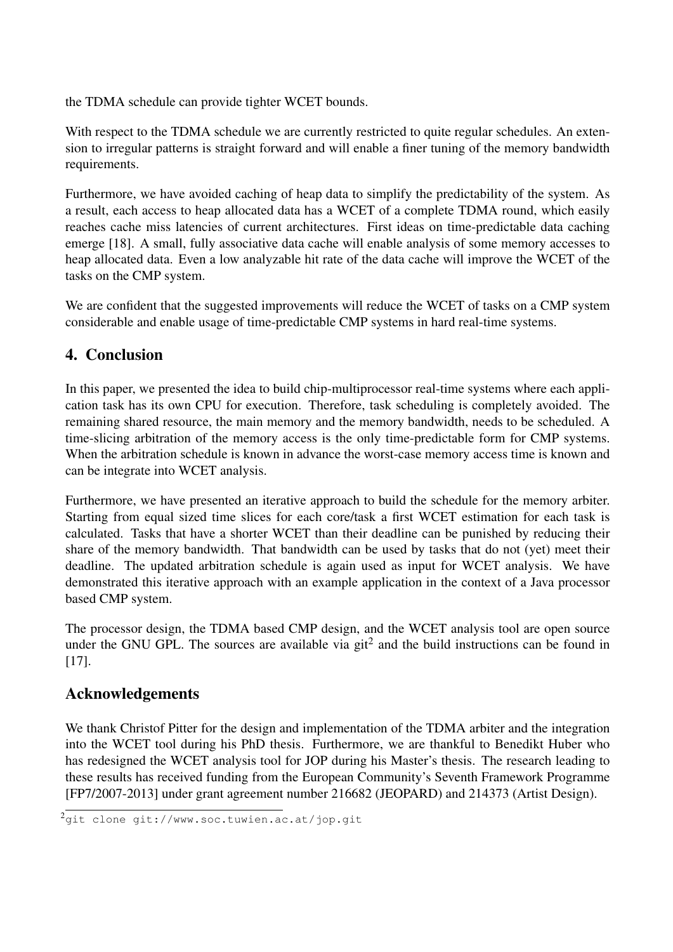the TDMA schedule can provide tighter WCET bounds.

With respect to the TDMA schedule we are currently restricted to quite regular schedules. An extension to irregular patterns is straight forward and will enable a finer tuning of the memory bandwidth requirements.

Furthermore, we have avoided caching of heap data to simplify the predictability of the system. As a result, each access to heap allocated data has a WCET of a complete TDMA round, which easily reaches cache miss latencies of current architectures. First ideas on time-predictable data caching emerge [18]. A small, fully associative data cache will enable analysis of some memory accesses to heap allocated data. Even a low analyzable hit rate of the data cache will improve the WCET of the tasks on the CMP system.

We are confident that the suggested improvements will reduce the WCET of tasks on a CMP system considerable and enable usage of time-predictable CMP systems in hard real-time systems.

# 4. Conclusion

In this paper, we presented the idea to build chip-multiprocessor real-time systems where each application task has its own CPU for execution. Therefore, task scheduling is completely avoided. The remaining shared resource, the main memory and the memory bandwidth, needs to be scheduled. A time-slicing arbitration of the memory access is the only time-predictable form for CMP systems. When the arbitration schedule is known in advance the worst-case memory access time is known and can be integrate into WCET analysis.

Furthermore, we have presented an iterative approach to build the schedule for the memory arbiter. Starting from equal sized time slices for each core/task a first WCET estimation for each task is calculated. Tasks that have a shorter WCET than their deadline can be punished by reducing their share of the memory bandwidth. That bandwidth can be used by tasks that do not (yet) meet their deadline. The updated arbitration schedule is again used as input for WCET analysis. We have demonstrated this iterative approach with an example application in the context of a Java processor based CMP system.

The processor design, the TDMA based CMP design, and the WCET analysis tool are open source under the GNU GPL. The sources are available via  $\text{git}^2$  and the build instructions can be found in [17].

# Acknowledgements

We thank Christof Pitter for the design and implementation of the TDMA arbiter and the integration into the WCET tool during his PhD thesis. Furthermore, we are thankful to Benedikt Huber who has redesigned the WCET analysis tool for JOP during his Master's thesis. The research leading to these results has received funding from the European Community's Seventh Framework Programme [FP7/2007-2013] under grant agreement number 216682 (JEOPARD) and 214373 (Artist Design).

<sup>&</sup>lt;sup>2</sup>git clone git://www.soc.tuwien.ac.at/jop.git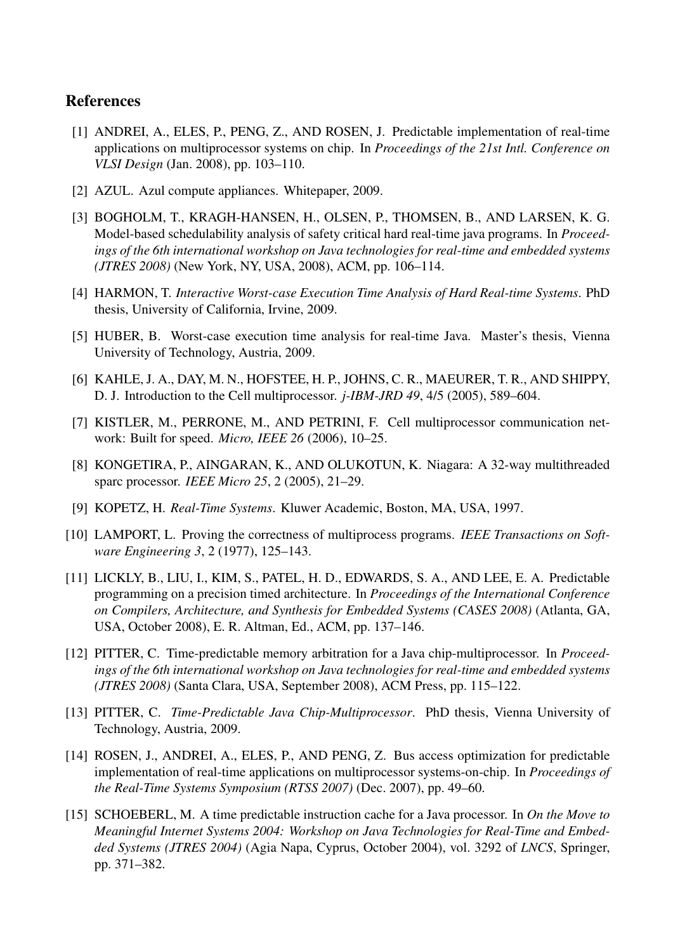## References

- [1] ANDREI, A., ELES, P., PENG, Z., AND ROSEN, J. Predictable implementation of real-time applications on multiprocessor systems on chip. In *Proceedings of the 21st Intl. Conference on VLSI Design* (Jan. 2008), pp. 103–110.
- [2] AZUL. Azul compute appliances. Whitepaper, 2009.
- [3] BOGHOLM, T., KRAGH-HANSEN, H., OLSEN, P., THOMSEN, B., AND LARSEN, K. G. Model-based schedulability analysis of safety critical hard real-time java programs. In *Proceedings of the 6th international workshop on Java technologies for real-time and embedded systems (JTRES 2008)* (New York, NY, USA, 2008), ACM, pp. 106–114.
- [4] HARMON, T. *Interactive Worst-case Execution Time Analysis of Hard Real-time Systems*. PhD thesis, University of California, Irvine, 2009.
- [5] HUBER, B. Worst-case execution time analysis for real-time Java. Master's thesis, Vienna University of Technology, Austria, 2009.
- [6] KAHLE, J. A., DAY, M. N., HOFSTEE, H. P., JOHNS, C. R., MAEURER, T. R., AND SHIPPY, D. J. Introduction to the Cell multiprocessor. *j-IBM-JRD 49*, 4/5 (2005), 589–604.
- [7] KISTLER, M., PERRONE, M., AND PETRINI, F. Cell multiprocessor communication network: Built for speed. *Micro, IEEE 26* (2006), 10–25.
- [8] KONGETIRA, P., AINGARAN, K., AND OLUKOTUN, K. Niagara: A 32-way multithreaded sparc processor. *IEEE Micro 25*, 2 (2005), 21–29.
- [9] KOPETZ, H. *Real-Time Systems*. Kluwer Academic, Boston, MA, USA, 1997.
- [10] LAMPORT, L. Proving the correctness of multiprocess programs. *IEEE Transactions on Software Engineering 3*, 2 (1977), 125–143.
- [11] LICKLY, B., LIU, I., KIM, S., PATEL, H. D., EDWARDS, S. A., AND LEE, E. A. Predictable programming on a precision timed architecture. In *Proceedings of the International Conference on Compilers, Architecture, and Synthesis for Embedded Systems (CASES 2008)* (Atlanta, GA, USA, October 2008), E. R. Altman, Ed., ACM, pp. 137–146.
- [12] PITTER, C. Time-predictable memory arbitration for a Java chip-multiprocessor. In *Proceedings of the 6th international workshop on Java technologies for real-time and embedded systems (JTRES 2008)* (Santa Clara, USA, September 2008), ACM Press, pp. 115–122.
- [13] PITTER, C. *Time-Predictable Java Chip-Multiprocessor*. PhD thesis, Vienna University of Technology, Austria, 2009.
- [14] ROSEN, J., ANDREI, A., ELES, P., AND PENG, Z. Bus access optimization for predictable implementation of real-time applications on multiprocessor systems-on-chip. In *Proceedings of the Real-Time Systems Symposium (RTSS 2007)* (Dec. 2007), pp. 49–60.
- [15] SCHOEBERL, M. A time predictable instruction cache for a Java processor. In *On the Move to Meaningful Internet Systems 2004: Workshop on Java Technologies for Real-Time and Embedded Systems (JTRES 2004)* (Agia Napa, Cyprus, October 2004), vol. 3292 of *LNCS*, Springer, pp. 371–382.